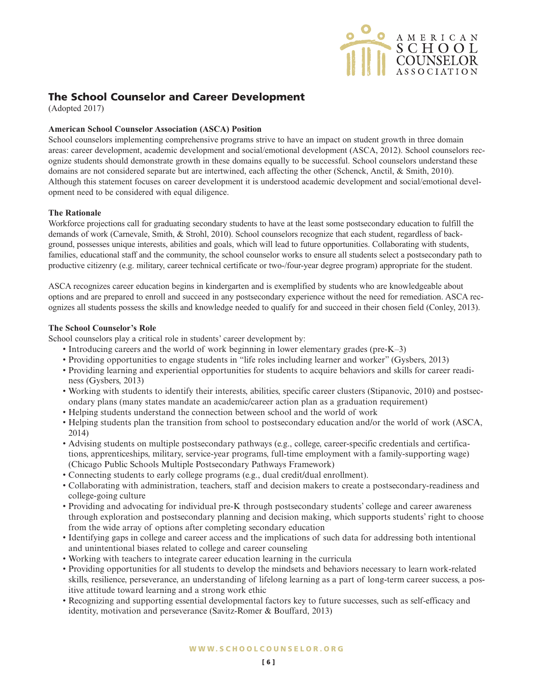

# **The School Counselor and Career Development**

(Adopted 2017)

# **American School Counselor Association (ASCA) Position**

School counselors implementing comprehensive programs strive to have an impact on student growth in three domain areas: career development, academic development and social/emotional development (ASCA, 2012). School counselors recognize students should demonstrate growth in these domains equally to be successful. School counselors understand these domains are not considered separate but are intertwined, each affecting the other (Schenck, Anctil, & Smith, 2010). Although this statement focuses on career development it is understood academic development and social/emotional development need to be considered with equal diligence.

# **The Rationale**

Workforce projections call for graduating secondary students to have at the least some postsecondary education to fulfill the demands of work (Carnevale, Smith, & Strohl, 2010). School counselors recognize that each student, regardless of background, possesses unique interests, abilities and goals, which will lead to future opportunities. Collaborating with students, families, educational staff and the community, the school counselor works to ensure all students select a postsecondary path to productive citizenry (e.g. military, career technical certificate or two-/four-year degree program) appropriate for the student.

ASCA recognizes career education begins in kindergarten and is exemplified by students who are knowledgeable about options and are prepared to enroll and succeed in any postsecondary experience without the need for remediation. ASCA recognizes all students possess the skills and knowledge needed to qualify for and succeed in their chosen field (Conley, 2013).

## **The School Counselor's Role**

School counselors play a critical role in students' career development by:

- Introducing careers and the world of work beginning in lower elementary grades (pre-K–3)
- Providing opportunities to engage students in "life roles including learner and worker" (Gysbers, 2013)
- Providing learning and experiential opportunities for students to acquire behaviors and skills for career readiness (Gysbers, 2013)
- Working with students to identify their interests, abilities, specific career clusters (Stipanovic, 2010) and postsecondary plans (many states mandate an academic/career action plan as a graduation requirement)
- Helping students understand the connection between school and the world of work
- Helping students plan the transition from school to postsecondary education and/or the world of work (ASCA, 2014)
- Advising students on multiple postsecondary pathways (e.g., college, career-specific credentials and certifications, apprenticeships, military, service-year programs, full-time employment with a family-supporting wage) (Chicago Public Schools Multiple Postsecondary Pathways Framework)
- Connecting students to early college programs (e.g., dual credit/dual enrollment).
- Collaborating with administration, teachers, staff and decision makers to create a postsecondary-readiness and college-going culture
- Providing and advocating for individual pre-K through postsecondary students' college and career awareness through exploration and postsecondary planning and decision making, which supports students' right to choose from the wide array of options after completing secondary education
- Identifying gaps in college and career access and the implications of such data for addressing both intentional and unintentional biases related to college and career counseling
- Working with teachers to integrate career education learning in the curricula
- Providing opportunities for all students to develop the mindsets and behaviors necessary to learn work-related skills, resilience, perseverance, an understanding of lifelong learning as a part of long-term career success, a positive attitude toward learning and a strong work ethic
- Recognizing and supporting essential developmental factors key to future successes, such as self-efficacy and identity, motivation and perseverance (Savitz-Romer & Bouffard, 2013)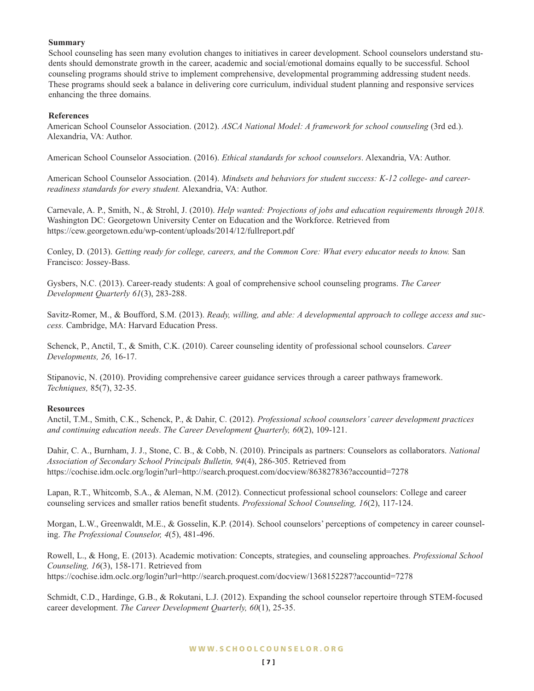## **Summary**

School counseling has seen many evolution changes to initiatives in career development. School counselors understand students should demonstrate growth in the career, academic and social/emotional domains equally to be successful. School counseling programs should strive to implement comprehensive, developmental programming addressing student needs. These programs should seek a balance in delivering core curriculum, individual student planning and responsive services enhancing the three domains.

### **References**

American School Counselor Association. (2012). *ASCA National Model: A framework for school counseling* (3rd ed.). Alexandria, VA: Author.

American School Counselor Association. (2016). *Ethical standards for school counselors*. Alexandria, VA: Author.

American School Counselor Association. (2014). *Mindsets and behaviors for student success: K-12 college- and careerreadiness standards for every student.* Alexandria, VA: Author.

Carnevale, A. P., Smith, N., & Strohl, J. (2010). *Help wanted: Projections of jobs and education requirements through 2018.* Washington DC: Georgetown University Center on Education and the Workforce. Retrieved from https://cew.georgetown.edu/wp-content/uploads/2014/12/fullreport.pdf

Conley, D. (2013). *Getting ready for college, careers, and the Common Core: What every educator needs to know.* San Francisco: Jossey-Bass.

Gysbers, N.C. (2013). Career-ready students: A goal of comprehensive school counseling programs. *The Career Development Quarterly 61*(3), 283-288.

Savitz-Romer, M., & Boufford, S.M. (2013). *Ready, willing, and able: A developmental approach to college access and success.* Cambridge, MA: Harvard Education Press.

Schenck, P., Anctil, T., & Smith, C.K. (2010). Career counseling identity of professional school counselors. *Career Developments, 26,* 16-17.

Stipanovic, N. (2010). Providing comprehensive career guidance services through a career pathways framework. *Techniques,* 85(7), 32-35.

#### **Resources**

Anctil, T.M., Smith, C.K., Schenck, P., & Dahir, C. (2012). *Professional school counselors' career development practices and continuing education needs*. *The Career Development Quarterly, 60*(2), 109-121.

Dahir, C. A., Burnham, J. J., Stone, C. B., & Cobb, N. (2010). Principals as partners: Counselors as collaborators. *National Association of Secondary School Principals Bulletin, 94*(4), 286-305. Retrieved from https://cochise.idm.oclc.org/login?url=http://search.proquest.com/docview/863827836?accountid=7278

Lapan, R.T., Whitcomb, S.A., & Aleman, N.M. (2012). Connecticut professional school counselors: College and career counseling services and smaller ratios benefit students. *Professional School Counseling, 16*(2), 117-124.

Morgan, L.W., Greenwaldt, M.E., & Gosselin, K.P. (2014). School counselors' perceptions of competency in career counseling. *The Professional Counselor, 4*(5), 481-496.

Rowell, L., & Hong, E. (2013). Academic motivation: Concepts, strategies, and counseling approaches. *Professional School Counseling, 16*(3), 158-171. Retrieved from https://cochise.idm.oclc.org/login?url=http://search.proquest.com/docview/1368152287?accountid=7278

Schmidt, C.D., Hardinge, G.B., & Rokutani, L.J. (2012). Expanding the school counselor repertoire through STEM-focused career development. *The Career Development Quarterly, 60*(1), 25-35.